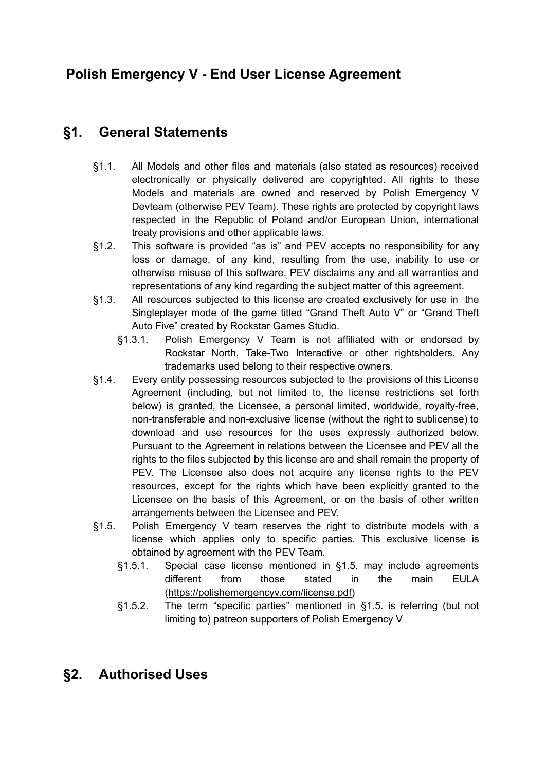# **Polish Emergency V - End User License Agreement**

### **§1. General Statements**

- §1.1. All Models and other files and materials (also stated as resources) received electronically or physically delivered are copyrighted. All rights to these Models and materials are owned and reserved by Polish Emergency V Devteam (otherwise PEV Team). These rights are protected by copyright laws respected in the Republic of Poland and/or European Union, international treaty provisions and other applicable laws.
- §1.2. This software is provided "as is" and PEV accepts no responsibility for any loss or damage, of any kind, resulting from the use, inability to use or otherwise misuse of this software. PEV disclaims any and all warranties and representations of any kind regarding the subject matter of this agreement.
- §1.3. All resources subjected to this license are created exclusively for use in the Singleplayer mode of the game titled "Grand Theft Auto V" or "Grand Theft Auto Five" created by Rockstar Games Studio.
	- §1.3.1. Polish Emergency V Team is not affiliated with or endorsed by Rockstar North, Take-Two Interactive or other rightsholders. Any trademarks used belong to their respective owners.
- §1.4. Every entity possessing resources subjected to the provisions of this License Agreement (including, but not limited to, the license restrictions set forth below) is granted, the Licensee, a personal limited, worldwide, royalty-free, non-transferable and non-exclusive license (without the right to sublicense) to download and use resources for the uses expressly authorized below. Pursuant to the Agreement in relations between the Licensee and PEV all the rights to the files subjected by this license are and shall remain the property of PEV. The Licensee also does not acquire any license rights to the PEV resources, except for the rights which have been explicitly granted to the Licensee on the basis of this Agreement, or on the basis of other written arrangements between the Licensee and PEV.
- §1.5. Polish Emergency V team reserves the right to distribute models with a license which applies only to specific parties. This exclusive license is obtained by agreement with the PEV Team.
	- §1.5.1. Special case license mentioned in §1.5. may include agreements different from those stated in the main EULA ([https://polishemergencyv.com/license.pdf\)](https://polishemergencyv.com/license.pdf)
	- §1.5.2. The term "specific parties" mentioned in §1.5. is referring (but not limiting to) patreon supporters of Polish Emergency V

## **§2. Authorised Uses**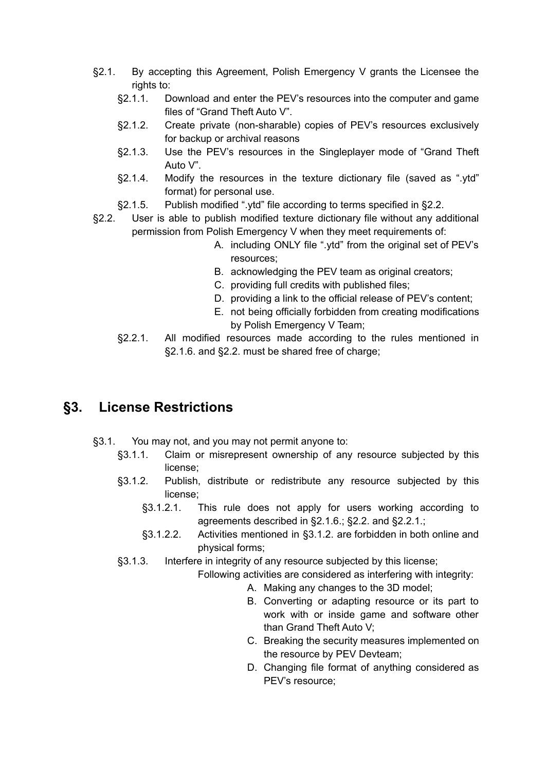- §2.1. By accepting this Agreement, Polish Emergency V grants the Licensee the rights to:
	- §2.1.1. Download and enter the PEV's resources into the computer and game files of "Grand Theft Auto V".
	- §2.1.2. Create private (non-sharable) copies of PEV's resources exclusively for backup or archival reasons
	- §2.1.3. Use the PEV's resources in the Singleplayer mode of "Grand Theft Auto V".
	- §2.1.4. Modify the resources in the texture dictionary file (saved as ".ytd" format) for personal use.
	- §2.1.5. Publish modified ".ytd" file according to terms specified in §2.2.
- §2.2. User is able to publish modified texture dictionary file without any additional permission from Polish Emergency V when they meet requirements of:
	- A. including ONLY file ".ytd" from the original set of PEV's resources;
	- B. acknowledging the PEV team as original creators;
	- C. providing full credits with published files;
	- D. providing a link to the official release of PEV's content;
	- E. not being officially forbidden from creating modifications by Polish Emergency V Team;
	- §2.2.1. All modified resources made according to the rules mentioned in §2.1.6. and §2.2. must be shared free of charge;

#### **§3. License Restrictions**

- §3.1. You may not, and you may not permit anyone to:
	- §3.1.1. Claim or misrepresent ownership of any resource subjected by this license;
	- §3.1.2. Publish, distribute or redistribute any resource subjected by this license;
		- §3.1.2.1. This rule does not apply for users working according to agreements described in §2.1.6.; §2.2. and §2.2.1.;
		- §3.1.2.2. Activities mentioned in §3.1.2. are forbidden in both online and physical forms;
	- §3.1.3. Interfere in integrity of any resource subjected by this license;
		- Following activities are considered as interfering with integrity:
			- A. Making any changes to the 3D model;
				- B. Converting or adapting resource or its part to work with or inside game and software other than Grand Theft Auto V;
				- C. Breaking the security measures implemented on the resource by PEV Devteam;
				- D. Changing file format of anything considered as PEV's resource;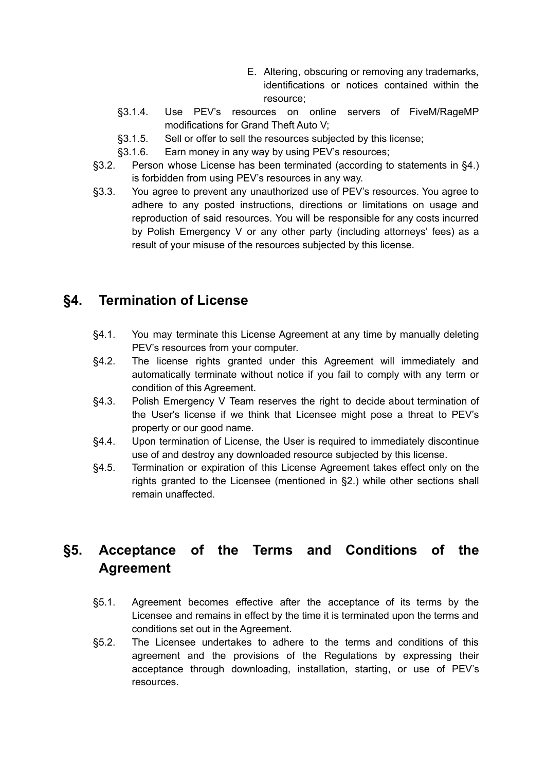- E. Altering, obscuring or removing any trademarks, identifications or notices contained within the resource;
- §3.1.4. Use PEV's resources on online servers of FiveM/RageMP modifications for Grand Theft Auto V;
- §3.1.5. Sell or offer to sell the resources subjected by this license;
- §3.1.6. Earn money in any way by using PEV's resources;
- §3.2. Person whose License has been terminated (according to statements in §4.) is forbidden from using PEV's resources in any way.
- §3.3. You agree to prevent any unauthorized use of PEV's resources. You agree to adhere to any posted instructions, directions or limitations on usage and reproduction of said resources. You will be responsible for any costs incurred by Polish Emergency V or any other party (including attorneys' fees) as a result of your misuse of the resources subjected by this license.

#### **§4. Termination of License**

- §4.1. You may terminate this License Agreement at any time by manually deleting PEV's resources from your computer.
- §4.2. The license rights granted under this Agreement will immediately and automatically terminate without notice if you fail to comply with any term or condition of this Agreement.
- §4.3. Polish Emergency V Team reserves the right to decide about termination of the User's license if we think that Licensee might pose a threat to PEV's property or our good name.
- §4.4. Upon termination of License, the User is required to immediately discontinue use of and destroy any downloaded resource subjected by this license.
- §4.5. Termination or expiration of this License Agreement takes effect only on the rights granted to the Licensee (mentioned in §2.) while other sections shall remain unaffected.

## **§5. Acceptance of the Terms and Conditions of the Agreement**

- §5.1. Agreement becomes effective after the acceptance of its terms by the Licensee and remains in effect by the time it is terminated upon the terms and conditions set out in the Agreement.
- §5.2. The Licensee undertakes to adhere to the terms and conditions of this agreement and the provisions of the Regulations by expressing their acceptance through downloading, installation, starting, or use of PEV's resources.